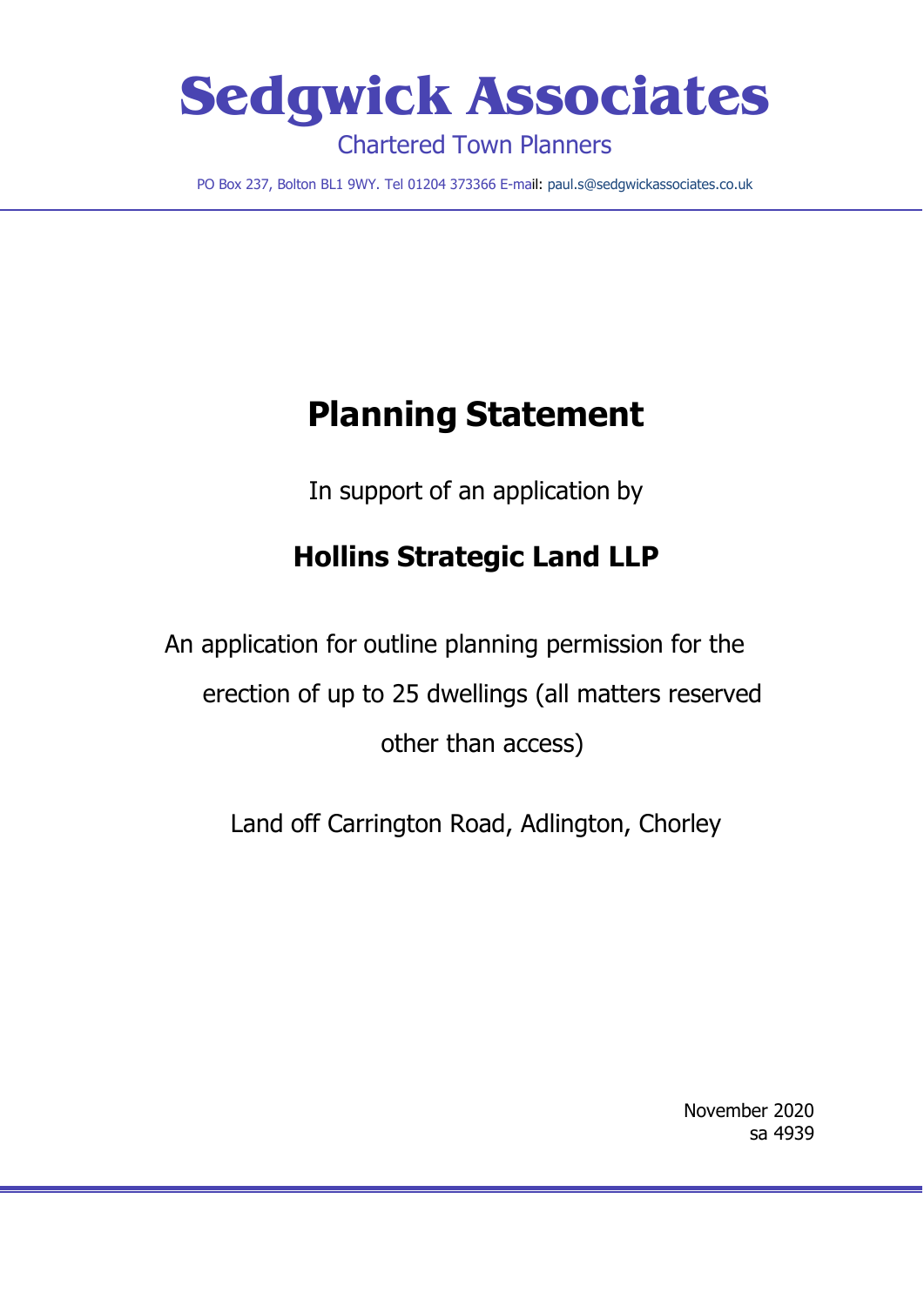# **Sedgwick Associates** Chartered Town Planners

PO Box 237, Bolton BL1 9WY. Tel 01204 373366 E-mail: paul.s@sedgwickassociates.co.uk

# **Planning Statement**

In support of an application by

# **Hollins Strategic Land LLP**

An application for outline planning permission for the erection of up to 25 dwellings (all matters reserved other than access)

Land off Carrington Road, Adlington, Chorley

November 2020 sa 4939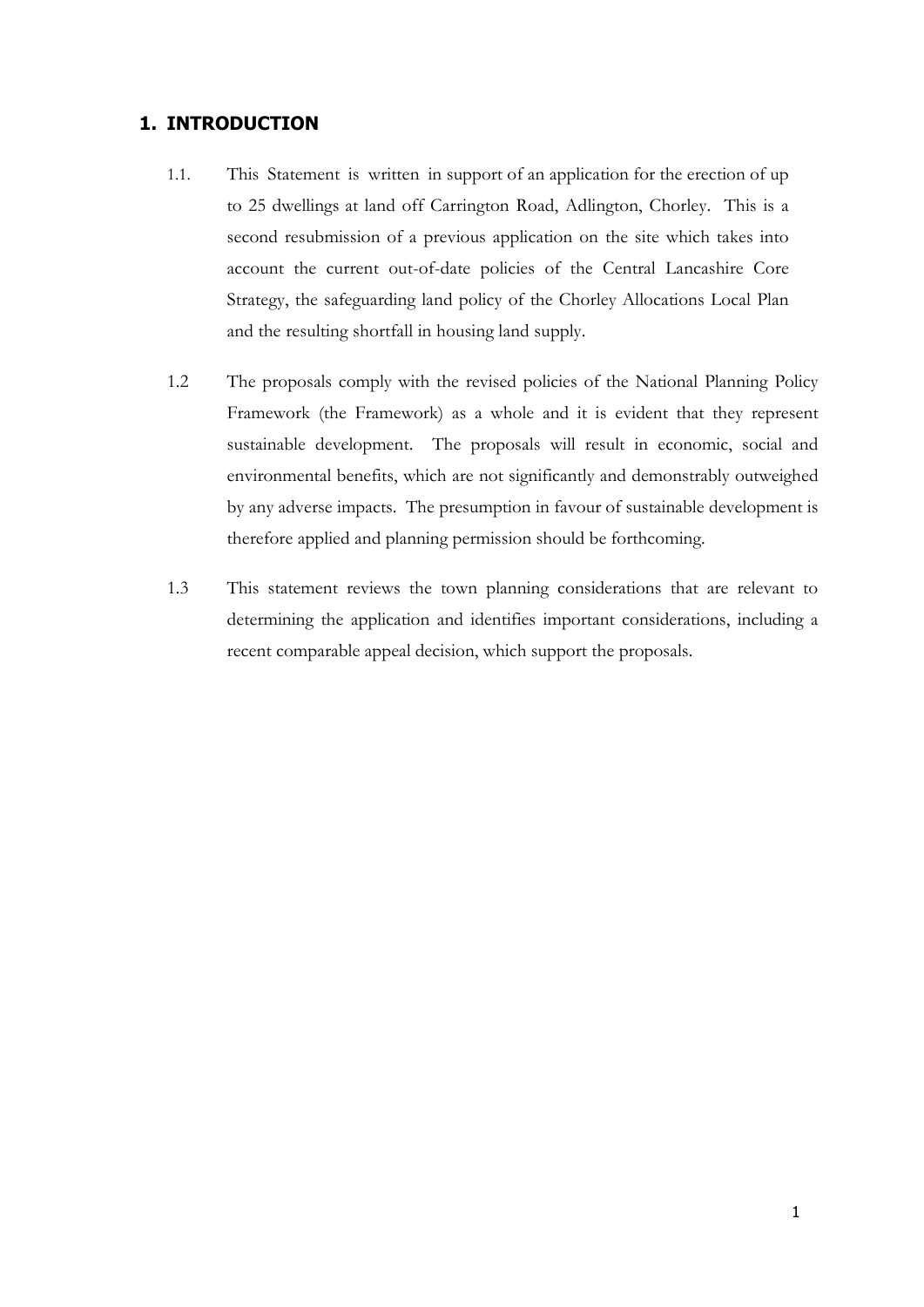#### **1. INTRODUCTION**

- 1.1. This Statement is written in support of an application for the erection of up to 25 dwellings at land off Carrington Road, Adlington, Chorley. This is a second resubmission of a previous application on the site which takes into account the current out-of-date policies of the Central Lancashire Core Strategy, the safeguarding land policy of the Chorley Allocations Local Plan and the resulting shortfall in housing land supply.
- 1.2 The proposals comply with the revised policies of the National Planning Policy Framework (the Framework) as a whole and it is evident that they represent sustainable development. The proposals will result in economic, social and environmental benefits, which are not significantly and demonstrably outweighed by any adverse impacts. The presumption in favour of sustainable development is therefore applied and planning permission should be forthcoming.
- 1.3 This statement reviews the town planning considerations that are relevant to determining the application and identifies important considerations, including a recent comparable appeal decision, which support the proposals.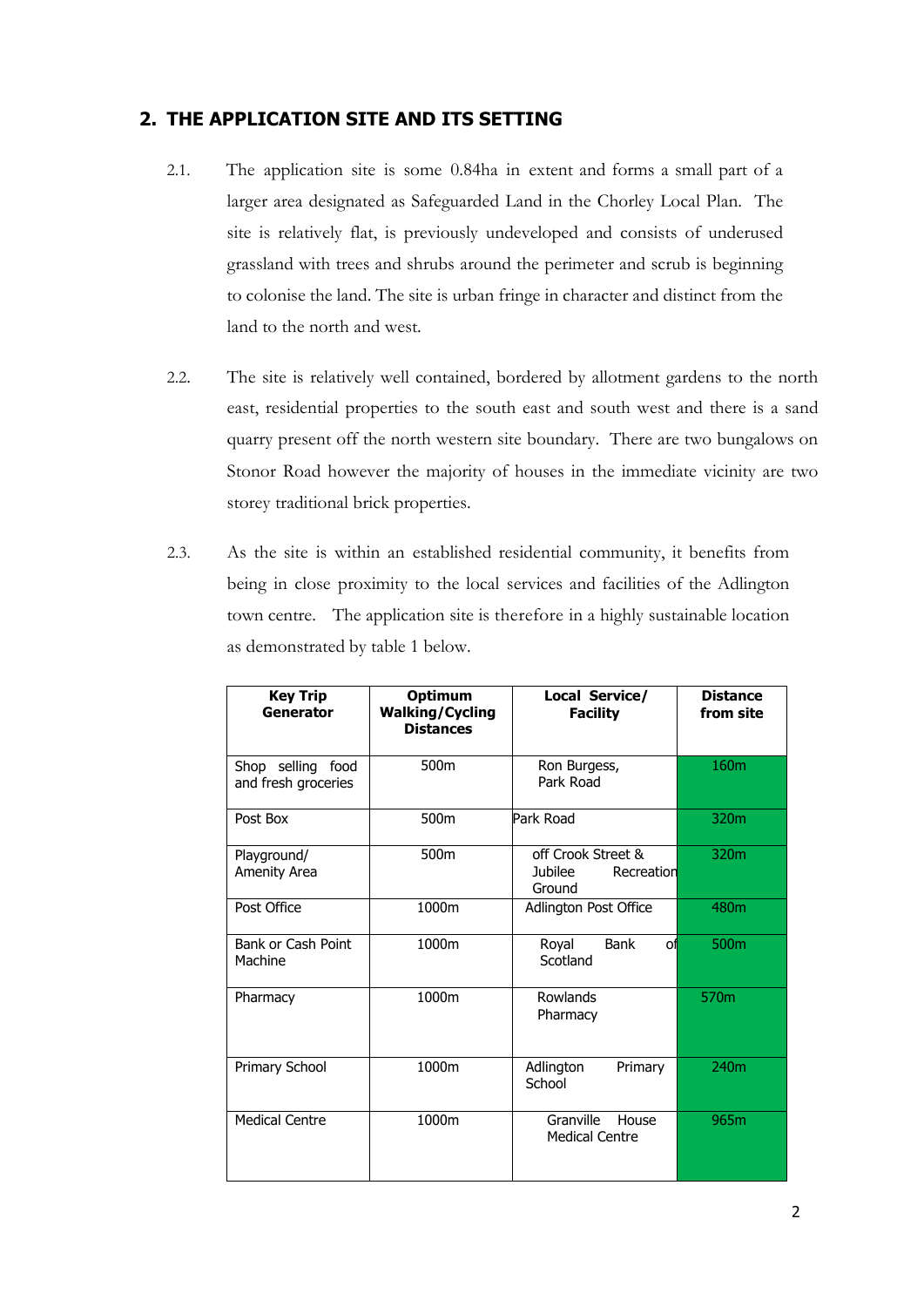# **2. THE APPLICATION SITE AND ITS SETTING**

- 2.1. The application site is some 0.84ha in extent and forms a small part of a larger area designated as Safeguarded Land in the Chorley Local Plan. The site is relatively flat, is previously undeveloped and consists of underused grassland with trees and shrubs around the perimeter and scrub is beginning to colonise the land. The site is urban fringe in character and distinct from the land to the north and west.
- 2.2. The site is relatively well contained, bordered by allotment gardens to the north east, residential properties to the south east and south west and there is a sand quarry present off the north western site boundary. There are two bungalows on Stonor Road however the majority of houses in the immediate vicinity are two storey traditional brick properties.
- 2.3. As the site is within an established residential community, it benefits from being in close proximity to the local services and facilities of the Adlington town centre. The application site is therefore in a highly sustainable location as demonstrated by table 1 below.

| <b>Key Trip</b><br>Generator                | Optimum<br><b>Walking/Cycling</b><br><b>Distances</b> | Local Service/<br><b>Facility</b>                            | <b>Distance</b><br>from site |
|---------------------------------------------|-------------------------------------------------------|--------------------------------------------------------------|------------------------------|
| Shop selling<br>food<br>and fresh groceries | 500m                                                  | Ron Burgess,<br>Park Road                                    | 160m                         |
| Post Box                                    | 500m                                                  | Park Road                                                    | 320m                         |
| Playground/<br>Amenity Area                 | 500m                                                  | off Crook Street &<br><b>Jubilee</b><br>Recreation<br>Ground | 320m                         |
| Post Office                                 | 1000m                                                 | Adlington Post Office                                        | 480m                         |
| Bank or Cash Point<br>Machine               | 1000m                                                 | <b>Bank</b><br>Royal<br>οf<br>Scotland                       | 500m                         |
| Pharmacy                                    | 1000m                                                 | Rowlands<br>Pharmacy                                         | 570m                         |
| Primary School                              | 1000m                                                 | Adlington<br>Primary<br>School                               | 240m                         |
| <b>Medical Centre</b>                       | 1000m                                                 | Granville<br>House<br><b>Medical Centre</b>                  | 965m                         |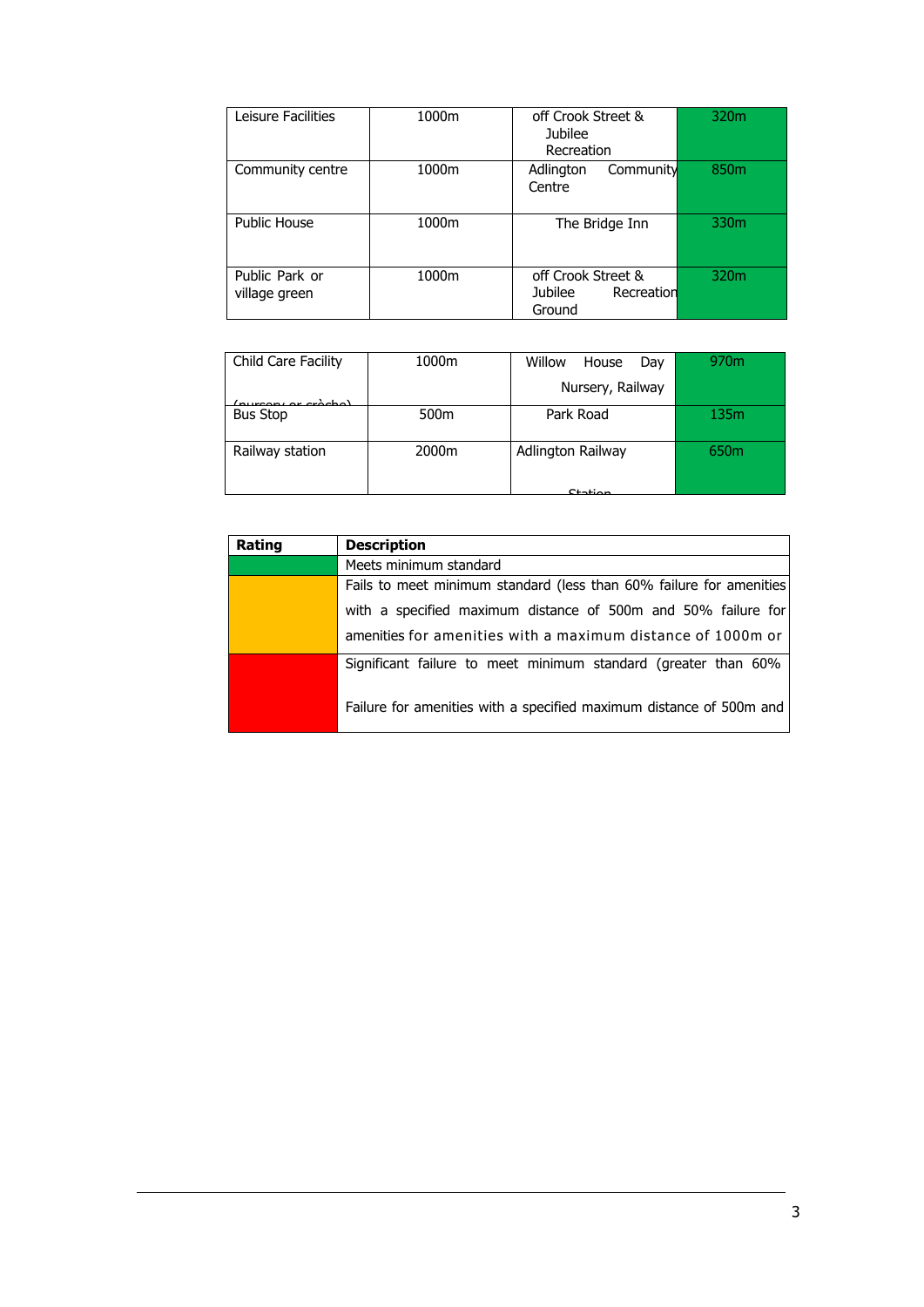| Leisure Facilities              | 1000m | off Crook Street &<br><b>Jubilee</b><br>Recreation    | 320m             |
|---------------------------------|-------|-------------------------------------------------------|------------------|
| Community centre                | 1000m | Adlington<br>Community<br>Centre                      | 850 <sub>m</sub> |
| <b>Public House</b>             | 1000m | The Bridge Inn                                        | 330 <sub>m</sub> |
| Public Park or<br>village green | 1000m | off Crook Street &<br>Jubilee<br>Recreation<br>Ground | 320 <sub>m</sub> |

| Child Care Facility | 1000m            | Willow<br>House<br>Day | 970 <sub>m</sub> |
|---------------------|------------------|------------------------|------------------|
| $\lambda$ alao)     |                  | Nursery, Railway       |                  |
| <b>Bus Stop</b>     | 500 <sub>m</sub> | Park Road              | 135m             |
| Railway station     | 2000m            | Adlington Railway      | 650 <sub>m</sub> |
|                     |                  | $C$ tation             |                  |

| Rating | <b>Description</b>                                                  |
|--------|---------------------------------------------------------------------|
|        | Meets minimum standard                                              |
|        | Fails to meet minimum standard (less than 60% failure for amenities |
|        | with a specified maximum distance of 500m and 50% failure for       |
|        | amenities for amenities with a maximum distance of 1000m or         |
|        | Significant failure to meet minimum standard (greater than 60%      |
|        | Failure for amenities with a specified maximum distance of 500m and |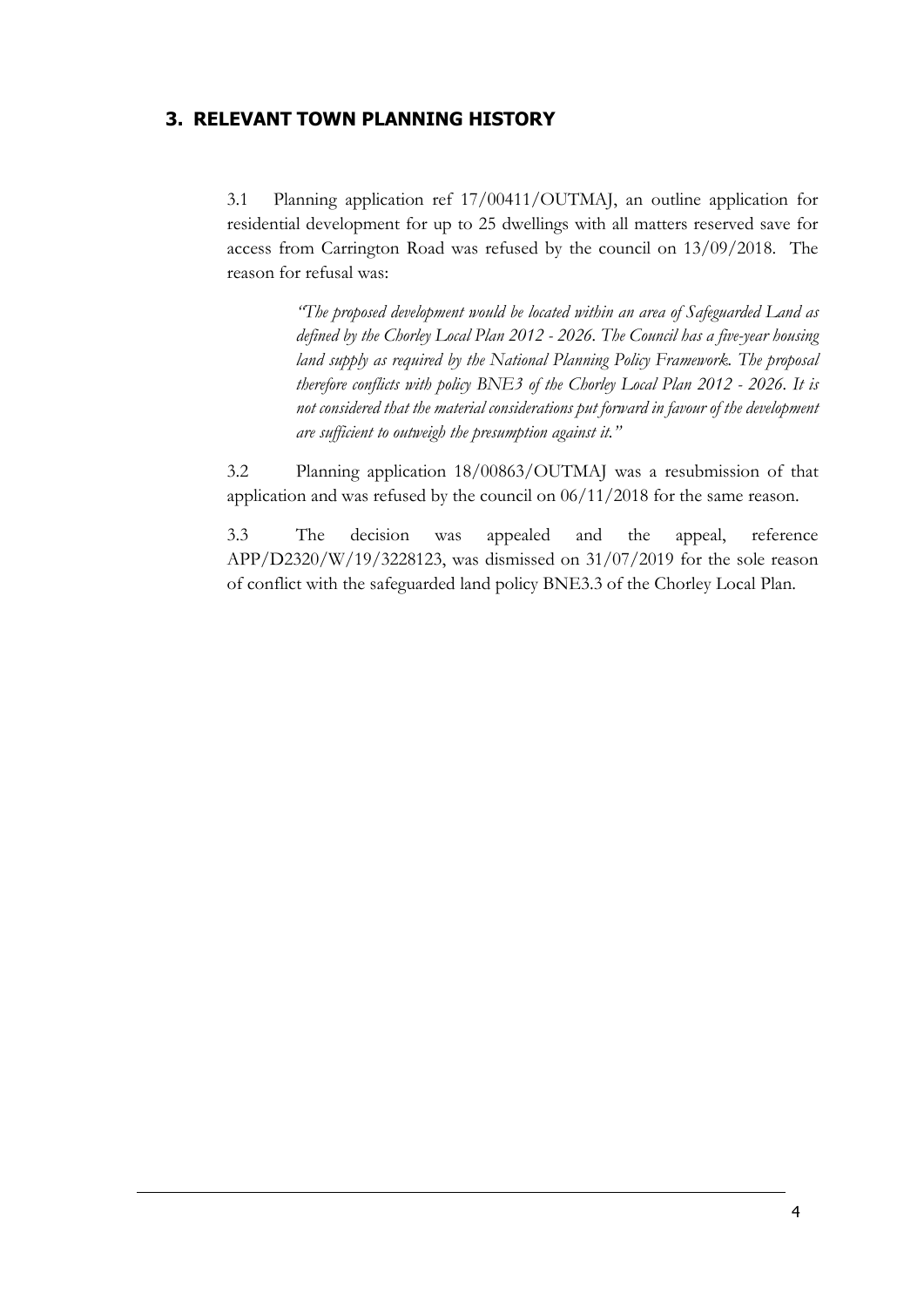# **3. RELEVANT TOWN PLANNING HISTORY**

3.1 Planning application ref 17/00411/OUTMAJ, an outline application for residential development for up to 25 dwellings with all matters reserved save for access from Carrington Road was refused by the council on 13/09/2018. The reason for refusal was:

> *"The proposed development would be located within an area of Safeguarded Land as defined by the Chorley Local Plan 2012 - 2026. The Council has a five-year housing land supply as required by the National Planning Policy Framework. The proposal therefore conflicts with policy BNE3 of the Chorley Local Plan 2012 - 2026. It is not considered that the material considerations put forward in favour of the development are sufficient to outweigh the presumption against it."*

3.2 Planning application 18/00863/OUTMAJ was a resubmission of that application and was refused by the council on 06/11/2018 for the same reason.

3.3 The decision was appealed and the appeal, reference APP/D2320/W/19/3228123, was dismissed on 31/07/2019 for the sole reason of conflict with the safeguarded land policy BNE3.3 of the Chorley Local Plan.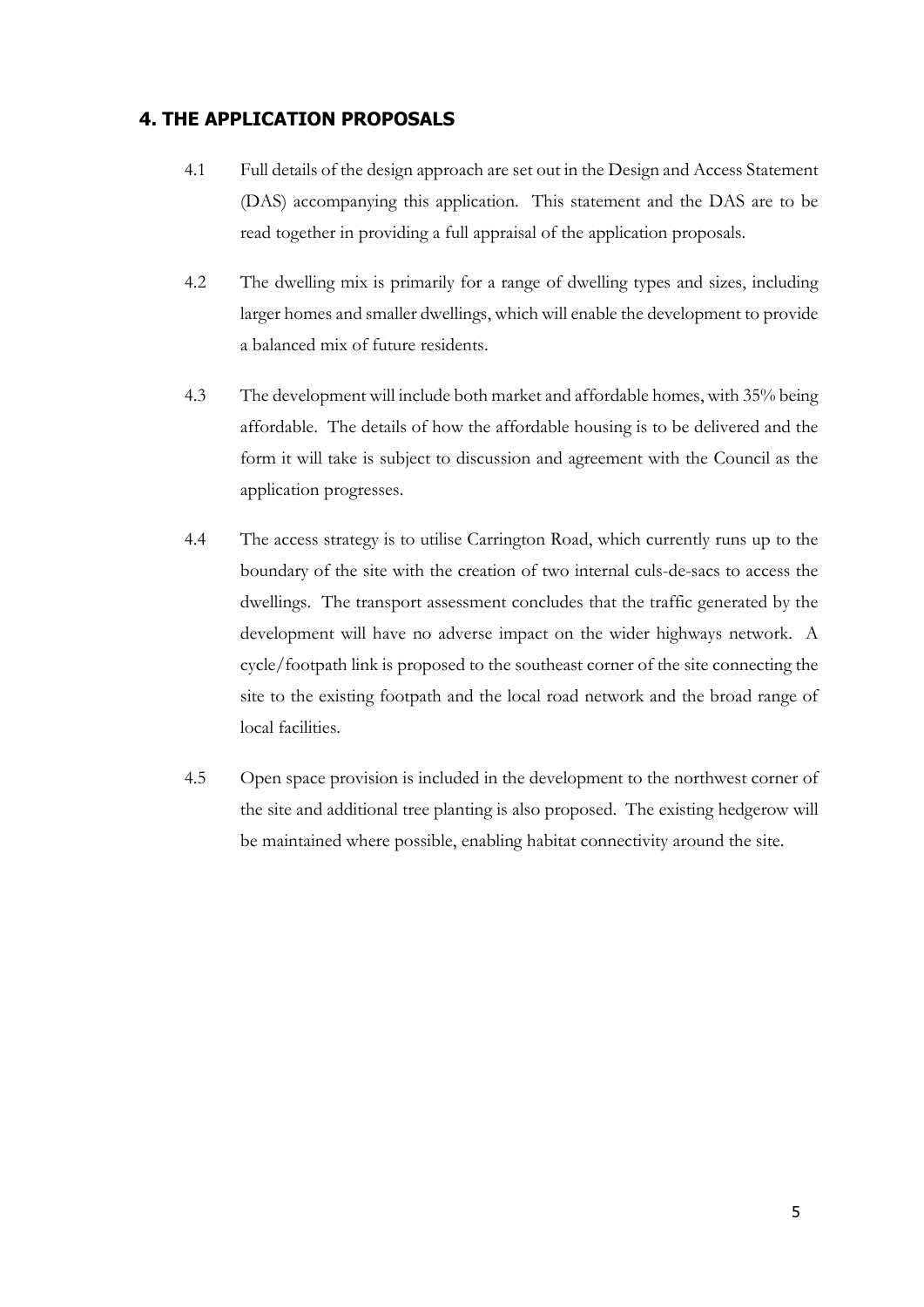### **4. THE APPLICATION PROPOSALS**

- 4.1 Full details of the design approach are set out in the Design and Access Statement (DAS) accompanying this application. This statement and the DAS are to be read together in providing a full appraisal of the application proposals.
- 4.2 The dwelling mix is primarily for a range of dwelling types and sizes, including larger homes and smaller dwellings, which will enable the development to provide a balanced mix of future residents.
- 4.3 The development will include both market and affordable homes, with 35% being affordable. The details of how the affordable housing is to be delivered and the form it will take is subject to discussion and agreement with the Council as the application progresses.
- 4.4 The access strategy is to utilise Carrington Road, which currently runs up to the boundary of the site with the creation of two internal culs-de-sacs to access the dwellings. The transport assessment concludes that the traffic generated by the development will have no adverse impact on the wider highways network. A cycle/footpath link is proposed to the southeast corner of the site connecting the site to the existing footpath and the local road network and the broad range of local facilities.
- 4.5 Open space provision is included in the development to the northwest corner of the site and additional tree planting is also proposed. The existing hedgerow will be maintained where possible, enabling habitat connectivity around the site.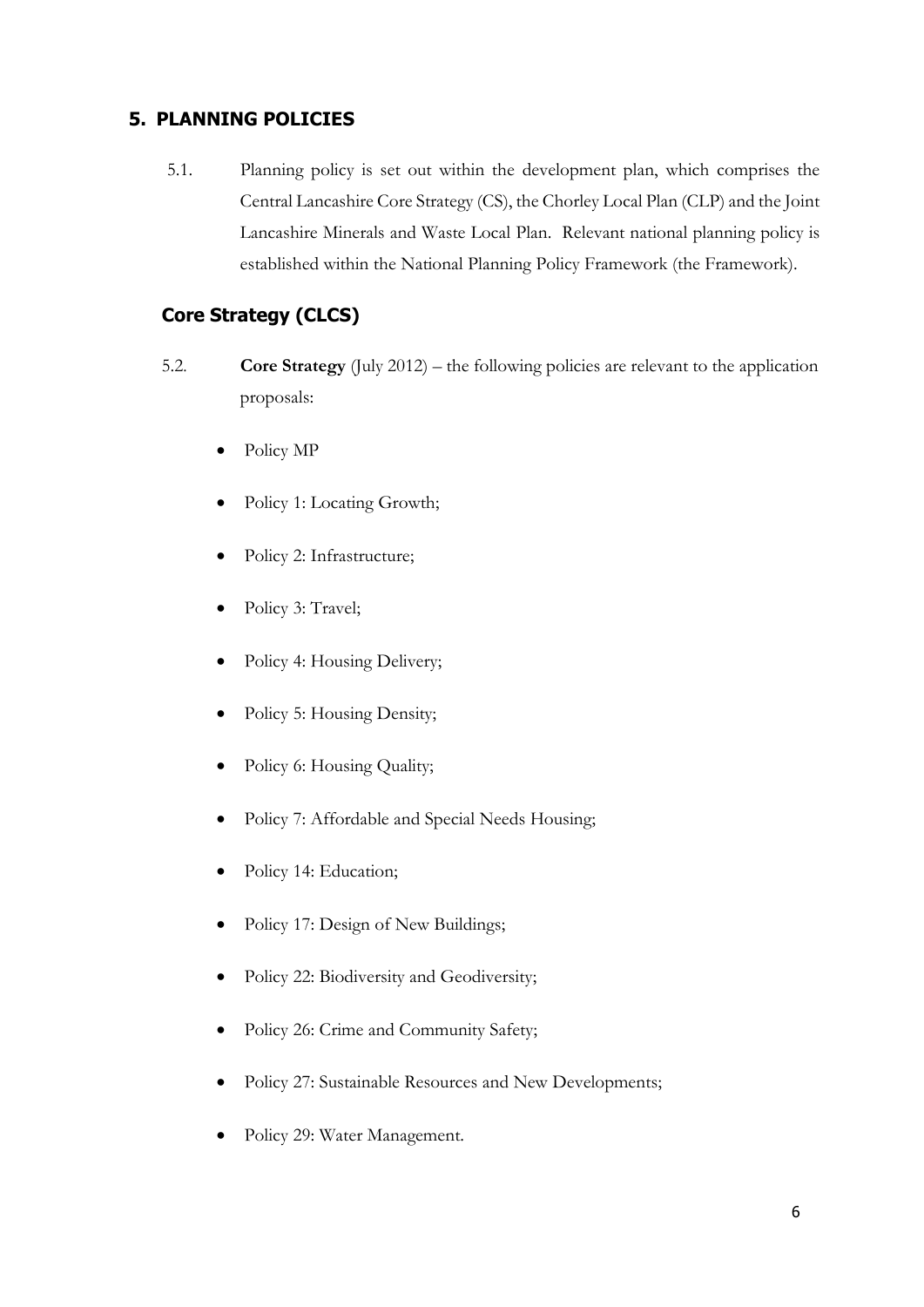# **5. PLANNING POLICIES**

5.1. Planning policy is set out within the development plan, which comprises the Central Lancashire Core Strategy (CS), the Chorley Local Plan (CLP) and the Joint Lancashire Minerals and Waste Local Plan. Relevant national planning policy is established within the National Planning Policy Framework (the Framework).

# **Core Strategy (CLCS)**

- 5.2. **Core Strategy** (July 2012) the following policies are relevant to the application proposals:
	- Policy MP
	- Policy 1: Locating Growth;
	- Policy 2: Infrastructure;
	- Policy 3: Travel;
	- Policy 4: Housing Delivery;
	- Policy 5: Housing Density;
	- Policy 6: Housing Quality;
	- Policy 7: Affordable and Special Needs Housing;
	- Policy 14: Education;
	- Policy 17: Design of New Buildings;
	- Policy 22: Biodiversity and Geodiversity;
	- Policy 26: Crime and Community Safety;
	- Policy 27: Sustainable Resources and New Developments;
	- Policy 29: Water Management.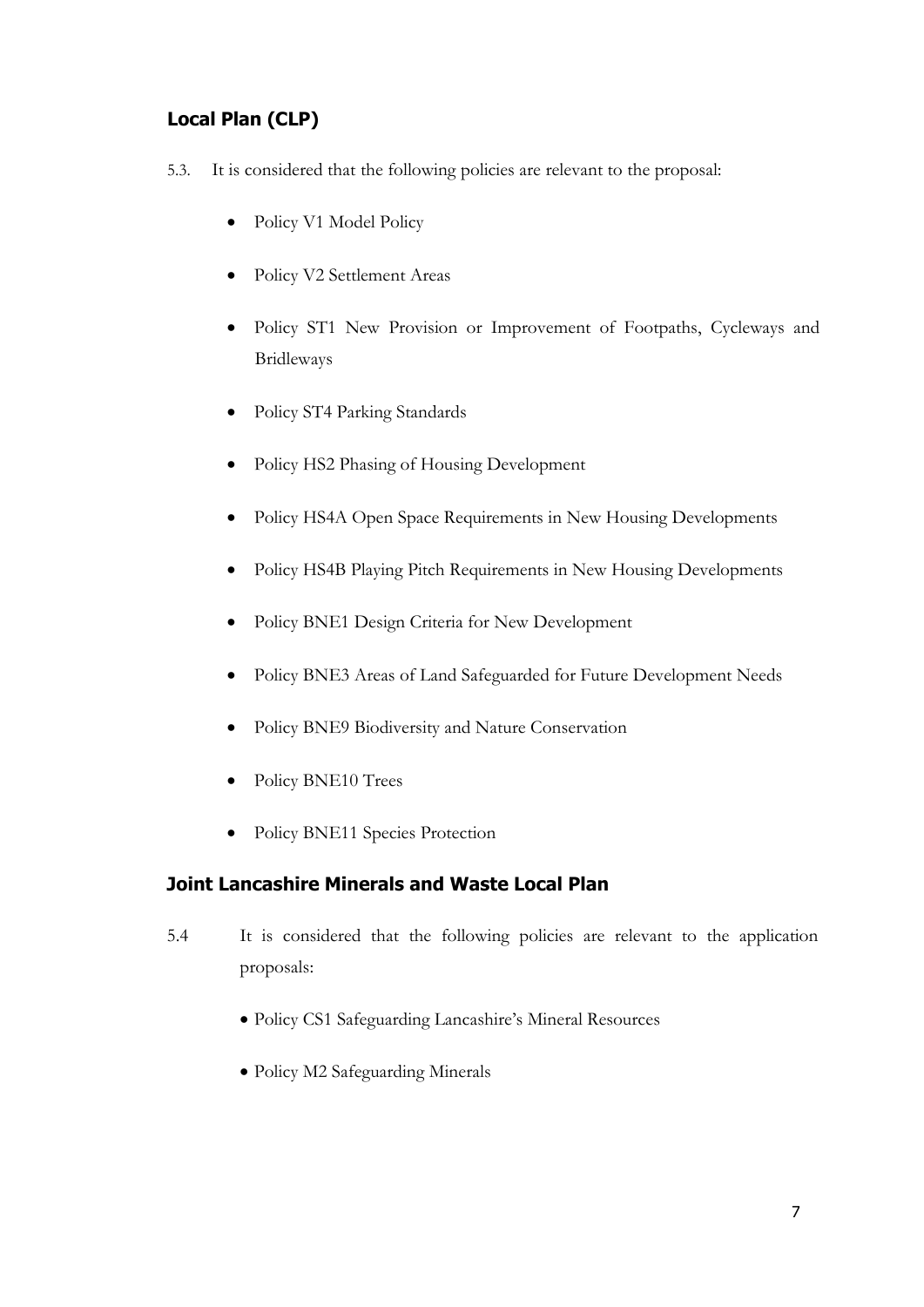# **Local Plan (CLP)**

- 5.3. It is considered that the following policies are relevant to the proposal:
	- Policy V1 Model Policy
	- Policy V2 Settlement Areas
	- Policy ST1 New Provision or Improvement of Footpaths, Cycleways and Bridleways
	- Policy ST4 Parking Standards
	- Policy HS2 Phasing of Housing Development
	- Policy HS4A Open Space Requirements in New Housing Developments
	- Policy HS4B Playing Pitch Requirements in New Housing Developments
	- Policy BNE1 Design Criteria for New Development
	- Policy BNE3 Areas of Land Safeguarded for Future Development Needs
	- Policy BNE9 Biodiversity and Nature Conservation
	- Policy BNE10 Trees
	- Policy BNE11 Species Protection

### **Joint Lancashire Minerals and Waste Local Plan**

- 5.4 It is considered that the following policies are relevant to the application proposals:
	- Policy CS1 Safeguarding Lancashire's Mineral Resources
	- Policy M2 Safeguarding Minerals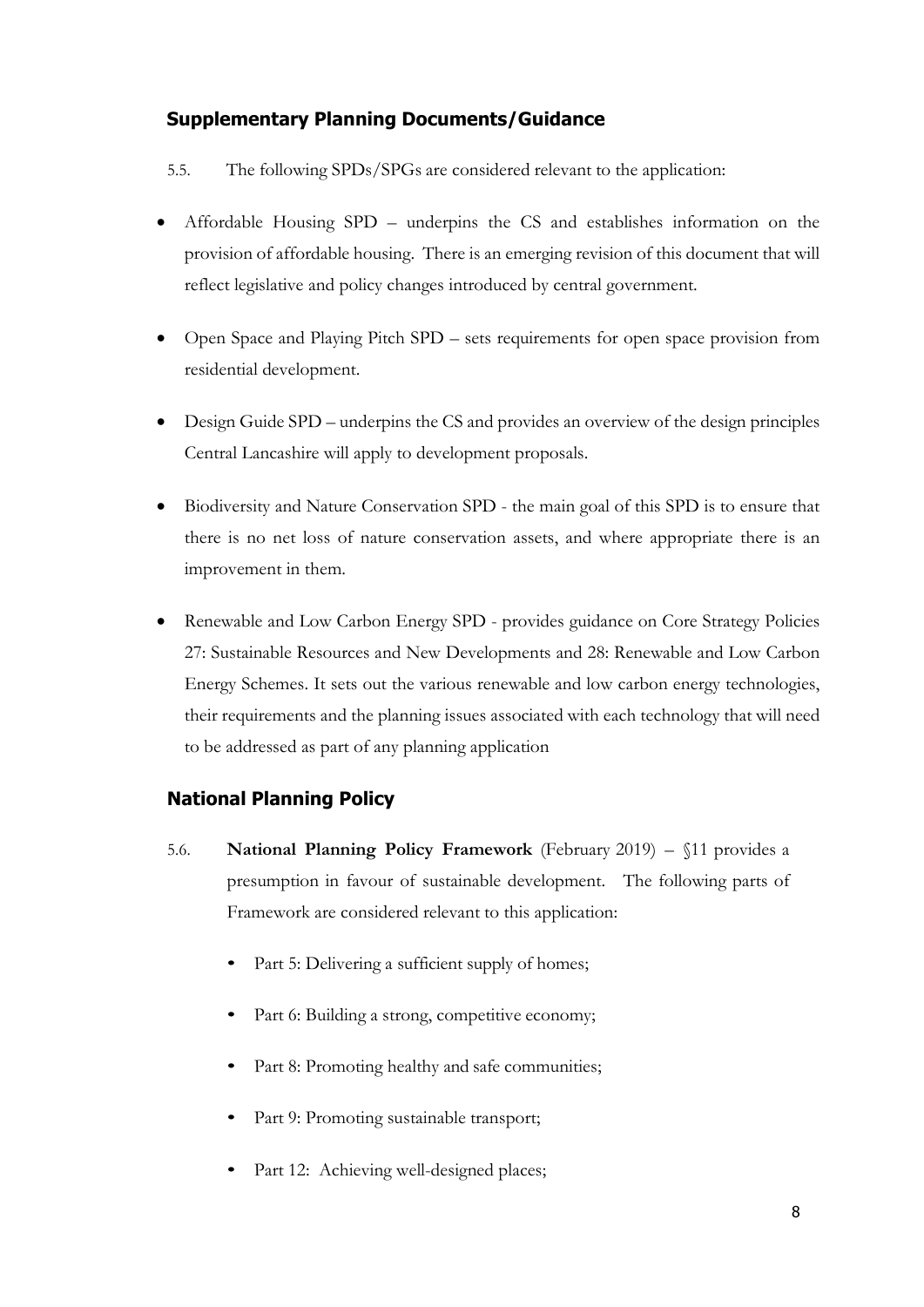### **Supplementary Planning Documents/Guidance**

- 5.5. The following SPDs/SPGs are considered relevant to the application:
- Affordable Housing SPD underpins the CS and establishes information on the provision of affordable housing. There is an emerging revision of this document that will reflect legislative and policy changes introduced by central government.
- Open Space and Playing Pitch SPD sets requirements for open space provision from residential development.
- Design Guide SPD underpins the CS and provides an overview of the design principles Central Lancashire will apply to development proposals.
- Biodiversity and Nature Conservation SPD the main goal of this SPD is to ensure that there is no net loss of nature conservation assets, and where appropriate there is an improvement in them.
- Renewable and Low Carbon Energy SPD provides guidance on Core Strategy Policies 27: Sustainable Resources and New Developments and 28: Renewable and Low Carbon Energy Schemes. It sets out the various renewable and low carbon energy technologies, their requirements and the planning issues associated with each technology that will need to be addressed as part of any planning application

### **National Planning Policy**

- 5.6. **National Planning Policy Framework** (February 2019) §11 provides a presumption in favour of sustainable development. The following parts of Framework are considered relevant to this application:
	- Part 5: Delivering a sufficient supply of homes;
	- Part 6: Building a strong, competitive economy;
	- Part 8: Promoting healthy and safe communities;
	- Part 9: Promoting sustainable transport;
	- Part 12: Achieving well-designed places;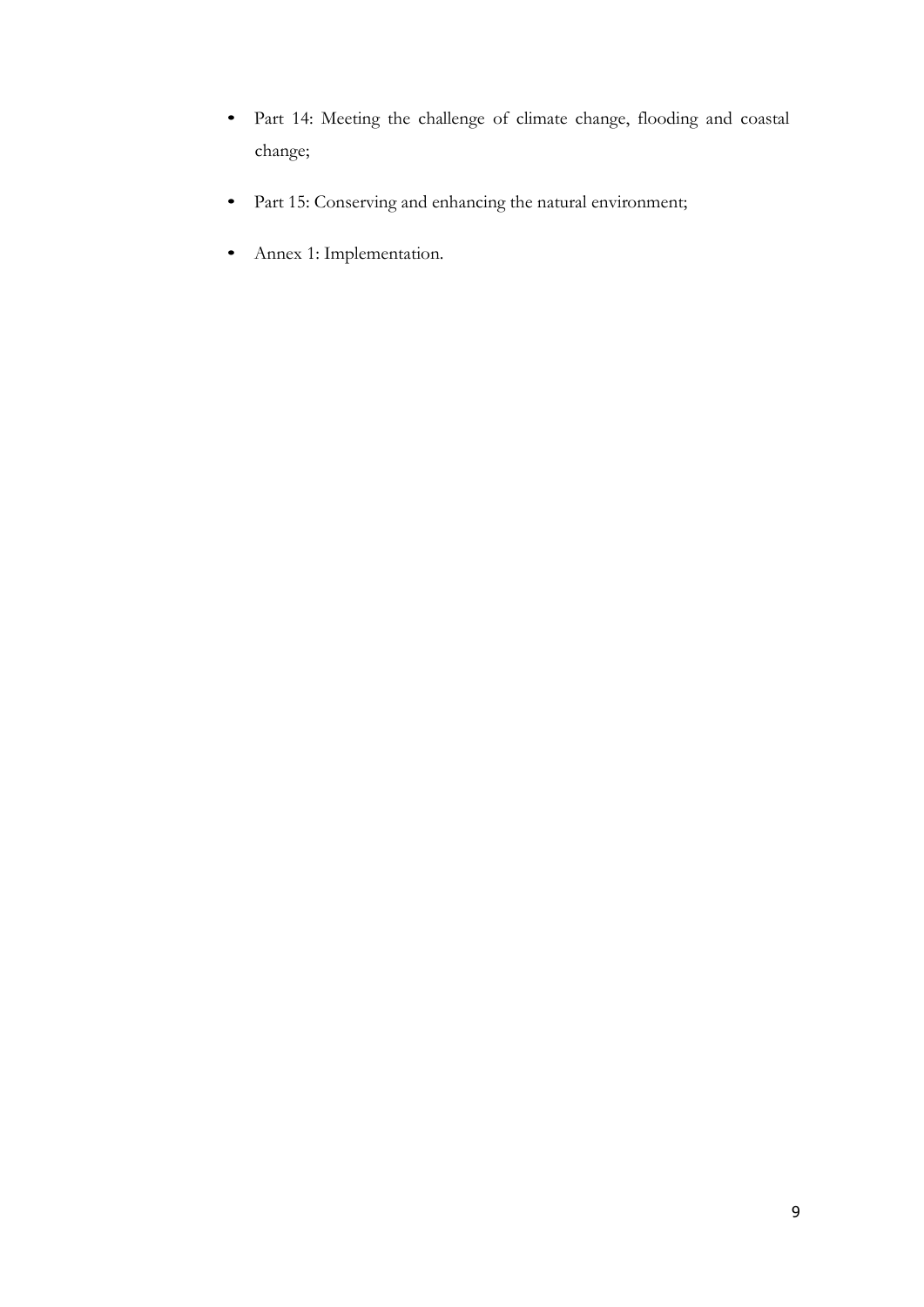- Part 14: Meeting the challenge of climate change, flooding and coastal change;
- Part 15: Conserving and enhancing the natural environment;
- Annex 1: Implementation.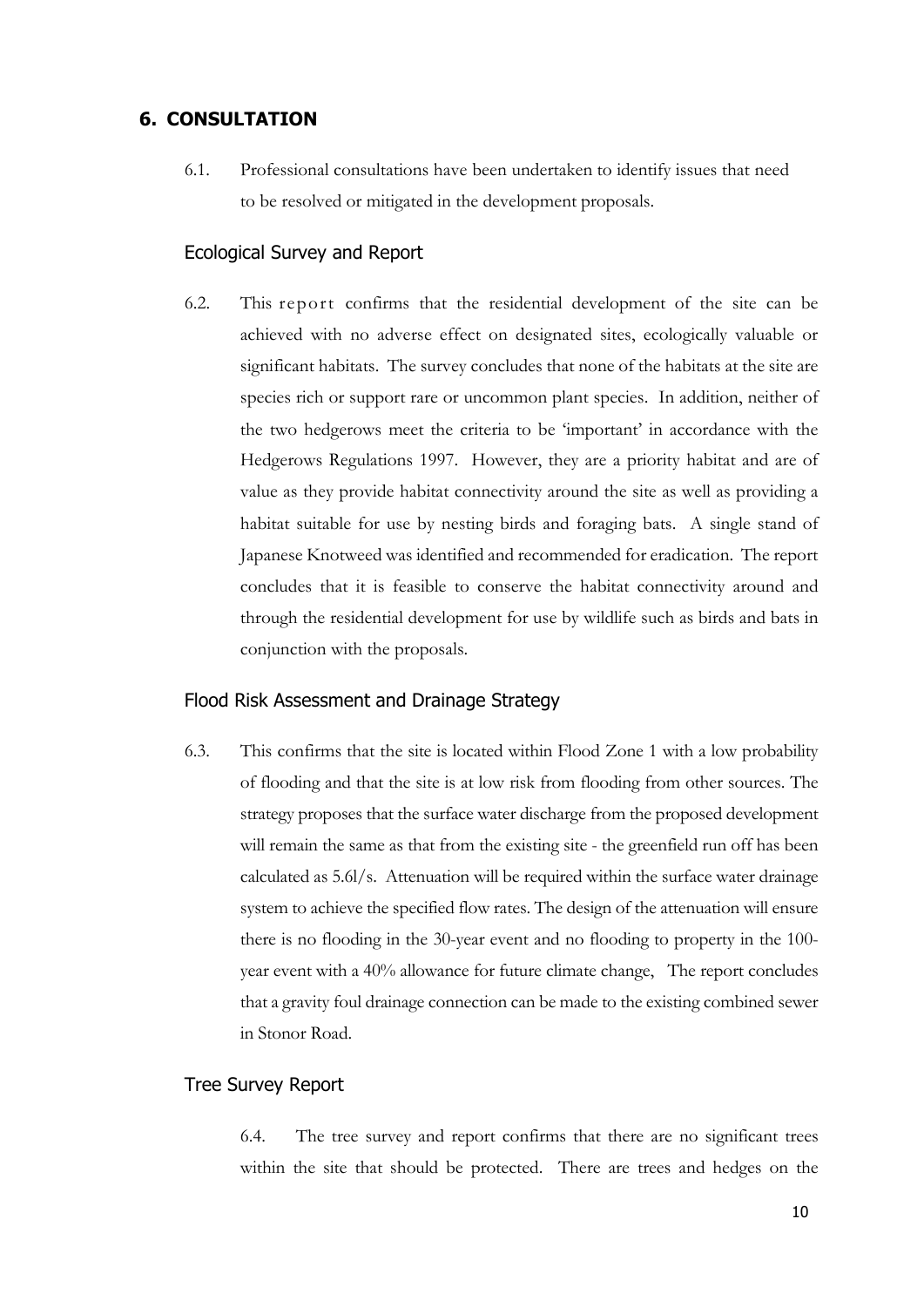#### **6. CONSULTATION**

6.1. Professional consultations have been undertaken to identify issues that need to be resolved or mitigated in the development proposals.

#### Ecological Survey and Report

6.2. This report confirms that the residential development of the site can be achieved with no adverse effect on designated sites, ecologically valuable or significant habitats. The survey concludes that none of the habitats at the site are species rich or support rare or uncommon plant species. In addition, neither of the two hedgerows meet the criteria to be 'important' in accordance with the Hedgerows Regulations 1997. However, they are a priority habitat and are of value as they provide habitat connectivity around the site as well as providing a habitat suitable for use by nesting birds and foraging bats. A single stand of Japanese Knotweed was identified and recommended for eradication. The report concludes that it is feasible to conserve the habitat connectivity around and through the residential development for use by wildlife such as birds and bats in conjunction with the proposals.

#### Flood Risk Assessment and Drainage Strategy

6.3. This confirms that the site is located within Flood Zone 1 with a low probability of flooding and that the site is at low risk from flooding from other sources. The strategy proposes that the surface water discharge from the proposed development will remain the same as that from the existing site - the greenfield run off has been calculated as 5.6l/s. Attenuation will be required within the surface water drainage system to achieve the specified flow rates. The design of the attenuation will ensure there is no flooding in the 30-year event and no flooding to property in the 100 year event with a 40% allowance for future climate change, The report concludes that a gravity foul drainage connection can be made to the existing combined sewer in Stonor Road.

#### Tree Survey Report

6.4. The tree survey and report confirms that there are no significant trees within the site that should be protected. There are trees and hedges on the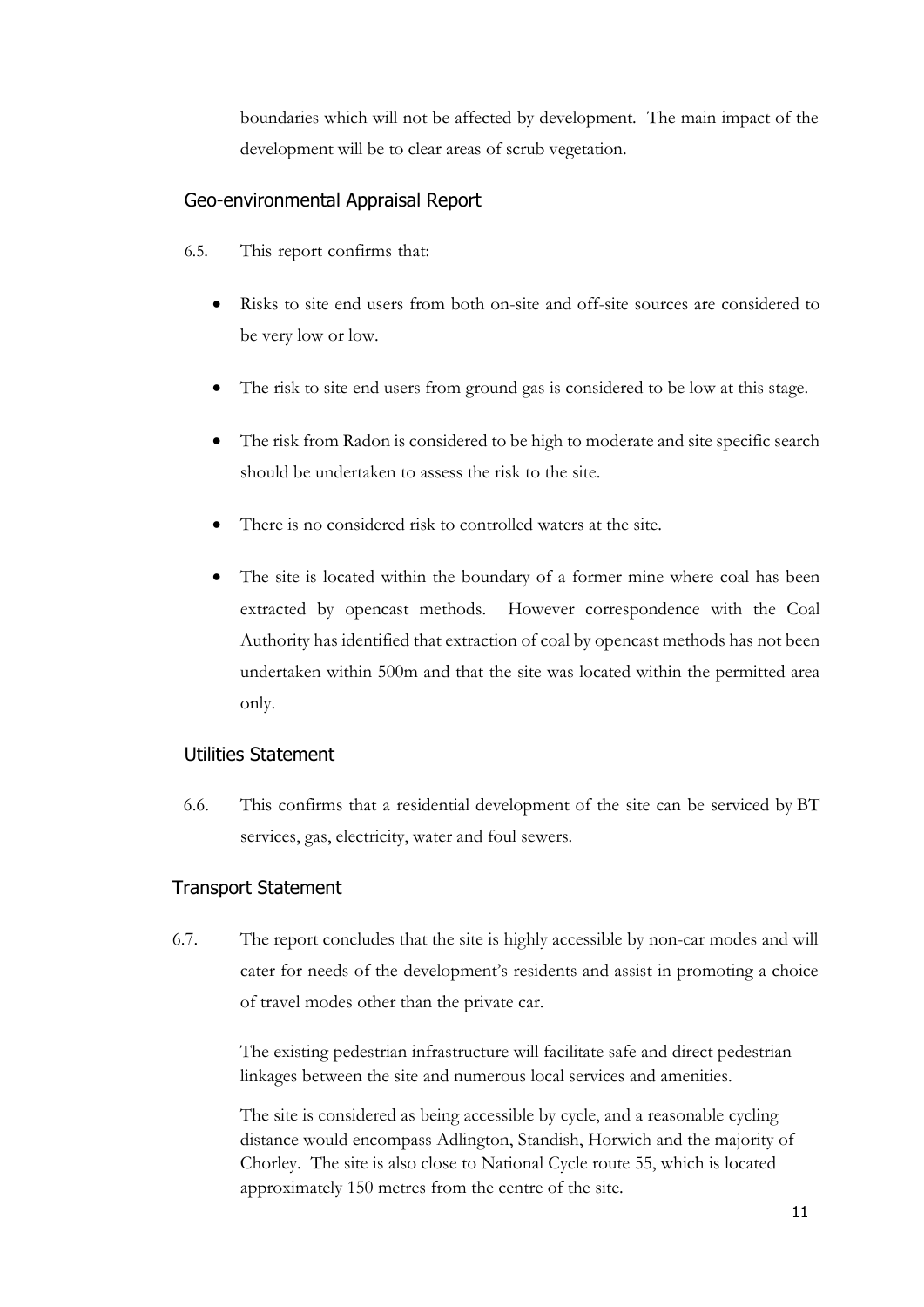boundaries which will not be affected by development. The main impact of the development will be to clear areas of scrub vegetation.

#### Geo-environmental Appraisal Report

- 6.5. This report confirms that:
	- Risks to site end users from both on-site and off-site sources are considered to be very low or low.
	- The risk to site end users from ground gas is considered to be low at this stage.
	- The risk from Radon is considered to be high to moderate and site specific search should be undertaken to assess the risk to the site.
	- There is no considered risk to controlled waters at the site.
	- The site is located within the boundary of a former mine where coal has been extracted by opencast methods. However correspondence with the Coal Authority has identified that extraction of coal by opencast methods has not been undertaken within 500m and that the site was located within the permitted area only.

#### Utilities Statement

6.6. This confirms that a residential development of the site can be serviced by BT services, gas, electricity, water and foul sewers.

#### Transport Statement

6.7. The report concludes that the site is highly accessible by non-car modes and will cater for needs of the development's residents and assist in promoting a choice of travel modes other than the private car.

> The existing pedestrian infrastructure will facilitate safe and direct pedestrian linkages between the site and numerous local services and amenities.

> The site is considered as being accessible by cycle, and a reasonable cycling distance would encompass Adlington, Standish, Horwich and the majority of Chorley. The site is also close to National Cycle route 55, which is located approximately 150 metres from the centre of the site.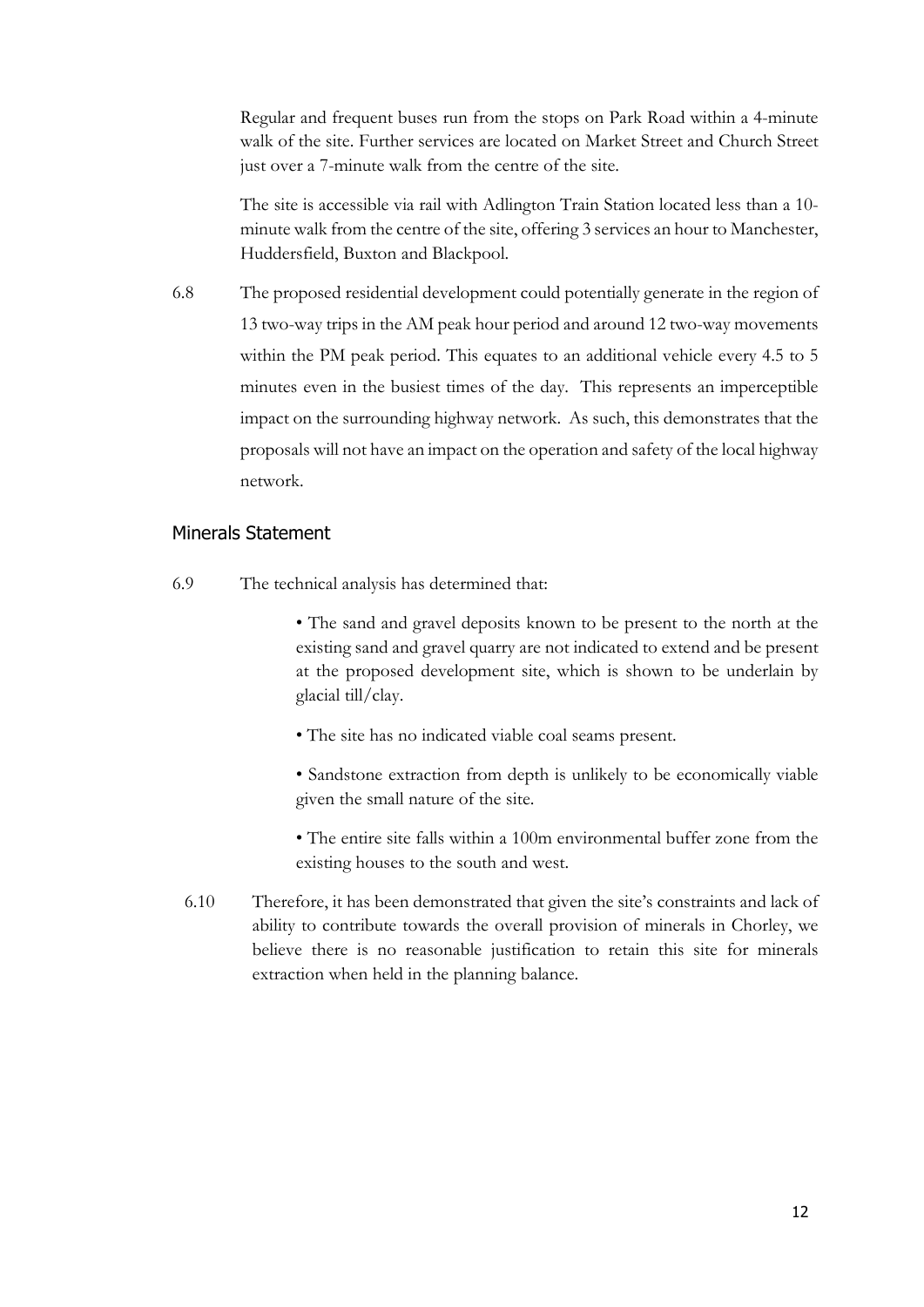Regular and frequent buses run from the stops on Park Road within a 4-minute walk of the site. Further services are located on Market Street and Church Street just over a 7-minute walk from the centre of the site.

The site is accessible via rail with Adlington Train Station located less than a 10 minute walk from the centre of the site, offering 3 services an hour to Manchester, Huddersfield, Buxton and Blackpool.

6.8 The proposed residential development could potentially generate in the region of 13 two-way trips in the AM peak hour period and around 12 two-way movements within the PM peak period. This equates to an additional vehicle every 4.5 to 5 minutes even in the busiest times of the day. This represents an imperceptible impact on the surrounding highway network. As such, this demonstrates that the proposals will not have an impact on the operation and safety of the local highway network.

#### Minerals Statement

6.9 The technical analysis has determined that:

• The sand and gravel deposits known to be present to the north at the existing sand and gravel quarry are not indicated to extend and be present at the proposed development site, which is shown to be underlain by glacial till/clay.

• The site has no indicated viable coal seams present.

• Sandstone extraction from depth is unlikely to be economically viable given the small nature of the site.

• The entire site falls within a 100m environmental buffer zone from the existing houses to the south and west.

6.10 Therefore, it has been demonstrated that given the site's constraints and lack of ability to contribute towards the overall provision of minerals in Chorley, we believe there is no reasonable justification to retain this site for minerals extraction when held in the planning balance.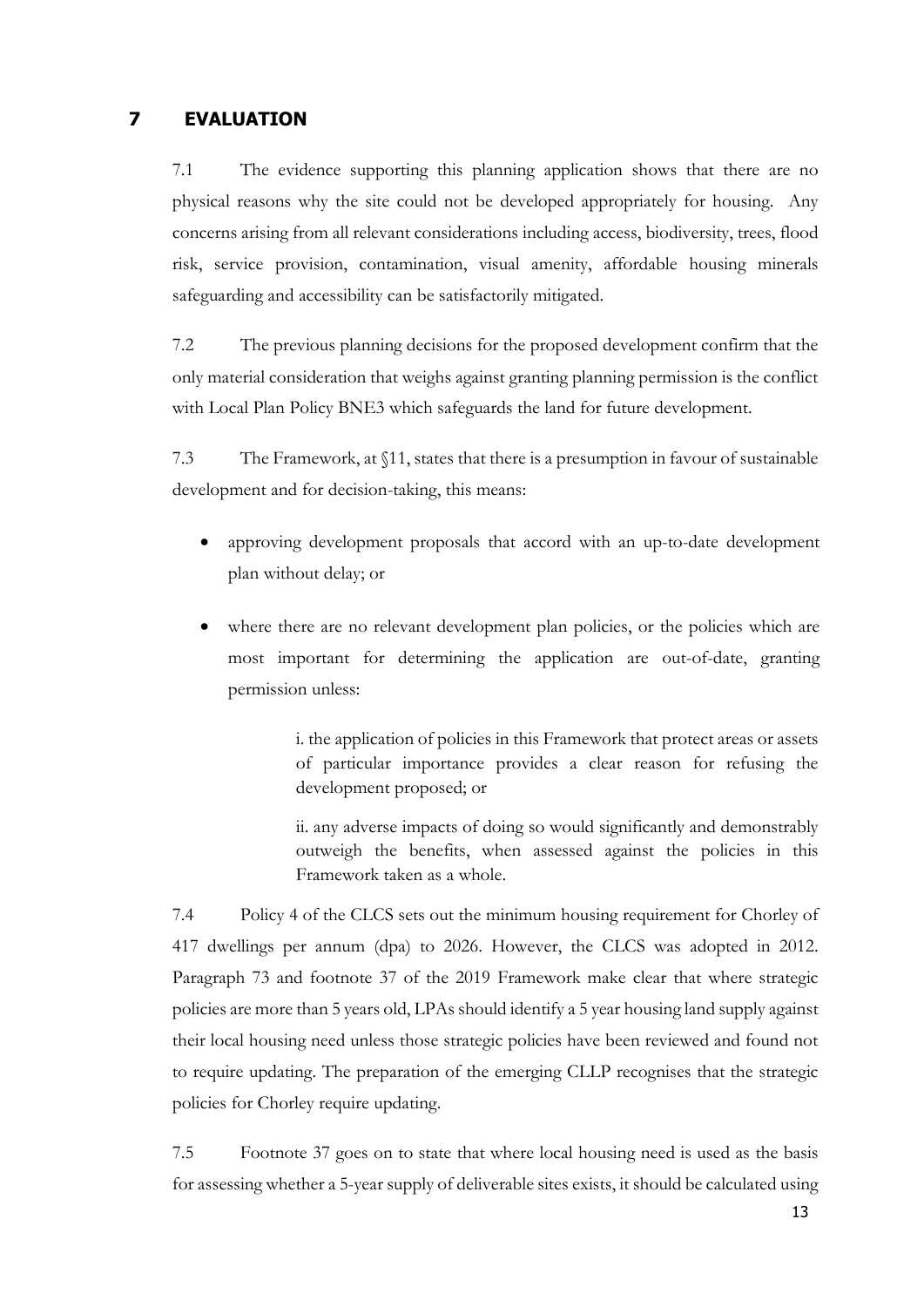#### **7 EVALUATION**

7.1 The evidence supporting this planning application shows that there are no physical reasons why the site could not be developed appropriately for housing. Any concerns arising from all relevant considerations including access, biodiversity, trees, flood risk, service provision, contamination, visual amenity, affordable housing minerals safeguarding and accessibility can be satisfactorily mitigated.

7.2 The previous planning decisions for the proposed development confirm that the only material consideration that weighs against granting planning permission is the conflict with Local Plan Policy BNE3 which safeguards the land for future development.

7.3 The Framework, at §11, states that there is a presumption in favour of sustainable development and for decision-taking, this means:

- approving development proposals that accord with an up-to-date development plan without delay; or
- where there are no relevant development plan policies, or the policies which are most important for determining the application are out-of-date, granting permission unless:

i. the application of policies in this Framework that protect areas or assets of particular importance provides a clear reason for refusing the development proposed; or

ii. any adverse impacts of doing so would significantly and demonstrably outweigh the benefits, when assessed against the policies in this Framework taken as a whole.

7.4 Policy 4 of the CLCS sets out the minimum housing requirement for Chorley of 417 dwellings per annum (dpa) to 2026. However, the CLCS was adopted in 2012. Paragraph 73 and footnote 37 of the 2019 Framework make clear that where strategic policies are more than 5 years old, LPAs should identify a 5 year housing land supply against their local housing need unless those strategic policies have been reviewed and found not to require updating. The preparation of the emerging CLLP recognises that the strategic policies for Chorley require updating.

7.5 Footnote 37 goes on to state that where local housing need is used as the basis for assessing whether a 5-year supply of deliverable sites exists, it should be calculated using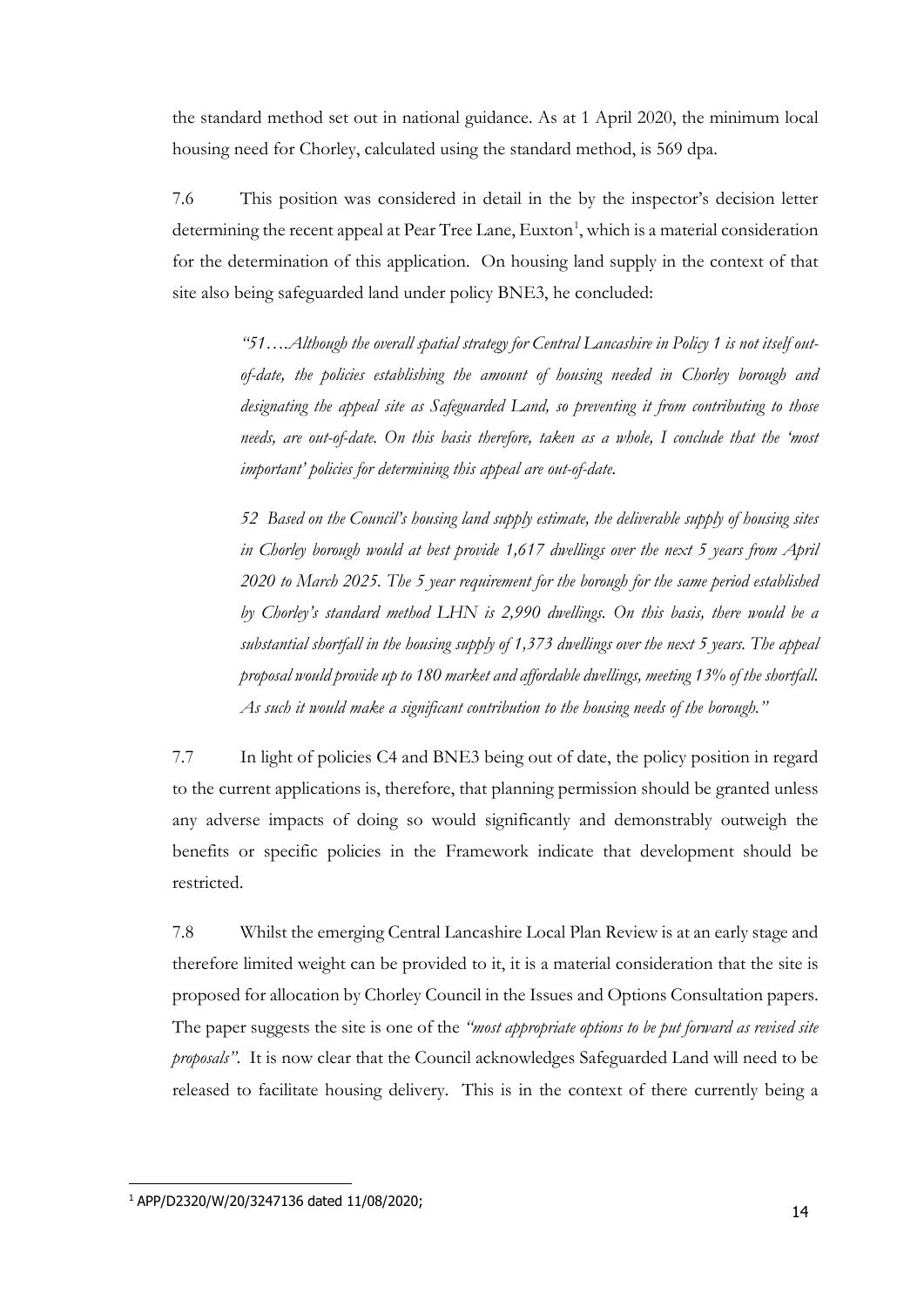the standard method set out in national guidance. As at 1 April 2020, the minimum local housing need for Chorley, calculated using the standard method, is 569 dpa.

7.6 This position was considered in detail in the by the inspector's decision letter determining the recent appeal at Pear Tree Lane, Euxton<sup>[1](#page-14-0)</sup>, which is a material consideration for the determination of this application. On housing land supply in the context of that site also being safeguarded land under policy BNE3, he concluded:

> *"51….Although the overall spatial strategy for Central Lancashire in Policy 1 is not itself outof-date, the policies establishing the amount of housing needed in Chorley borough and designating the appeal site as Safeguarded Land, so preventing it from contributing to those needs, are out-of-date. On this basis therefore, taken as a whole, I conclude that the 'most important' policies for determining this appeal are out-of-date.*

> *52 Based on the Council's housing land supply estimate, the deliverable supply of housing sites in Chorley borough would at best provide 1,617 dwellings over the next 5 years from April 2020 to March 2025. The 5 year requirement for the borough for the same period established by Chorley's standard method LHN is 2,990 dwellings. On this basis, there would be a substantial shortfall in the housing supply of 1,373 dwellings over the next 5 years. The appeal proposal would provide up to 180 market and affordable dwellings, meeting 13% of the shortfall. As such it would make a significant contribution to the housing needs of the borough."*

7.7 In light of policies C4 and BNE3 being out of date, the policy position in regard to the current applications is, therefore, that planning permission should be granted unless any adverse impacts of doing so would significantly and demonstrably outweigh the benefits or specific policies in the Framework indicate that development should be restricted.

7.8 Whilst the emerging Central Lancashire Local Plan Review is at an early stage and therefore limited weight can be provided to it, it is a material consideration that the site is proposed for allocation by Chorley Council in the Issues and Options Consultation papers. The paper suggests the site is one of the *"most appropriate options to be put forward as revised site proposals"*. It is now clear that the Council acknowledges Safeguarded Land will need to be released to facilitate housing delivery. This is in the context of there currently being a

<span id="page-14-0"></span><sup>1</sup> APP/D2320/W/20/3247136 dated 11/08/2020;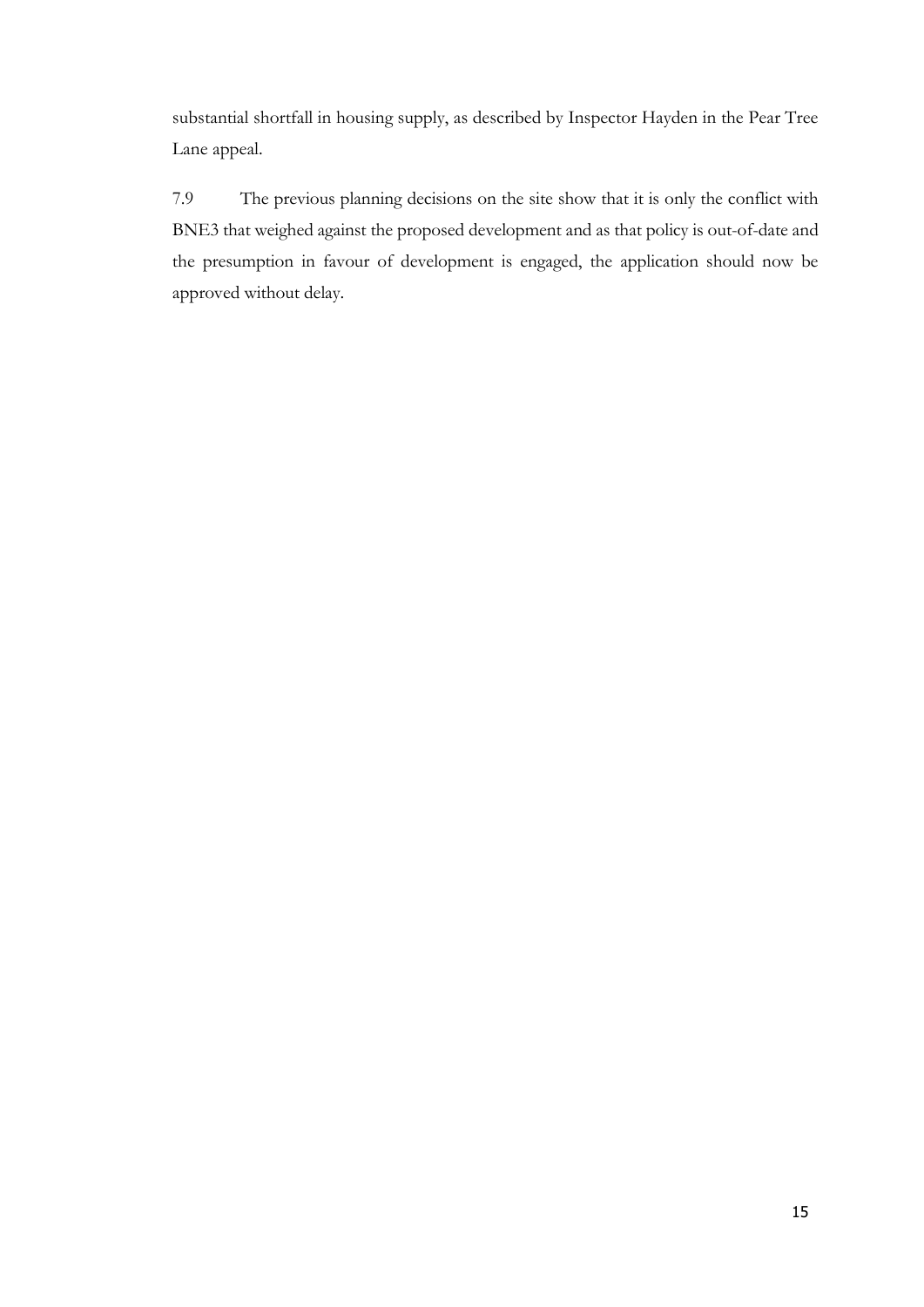substantial shortfall in housing supply, as described by Inspector Hayden in the Pear Tree Lane appeal.

7.9 The previous planning decisions on the site show that it is only the conflict with BNE3 that weighed against the proposed development and as that policy is out-of-date and the presumption in favour of development is engaged, the application should now be approved without delay.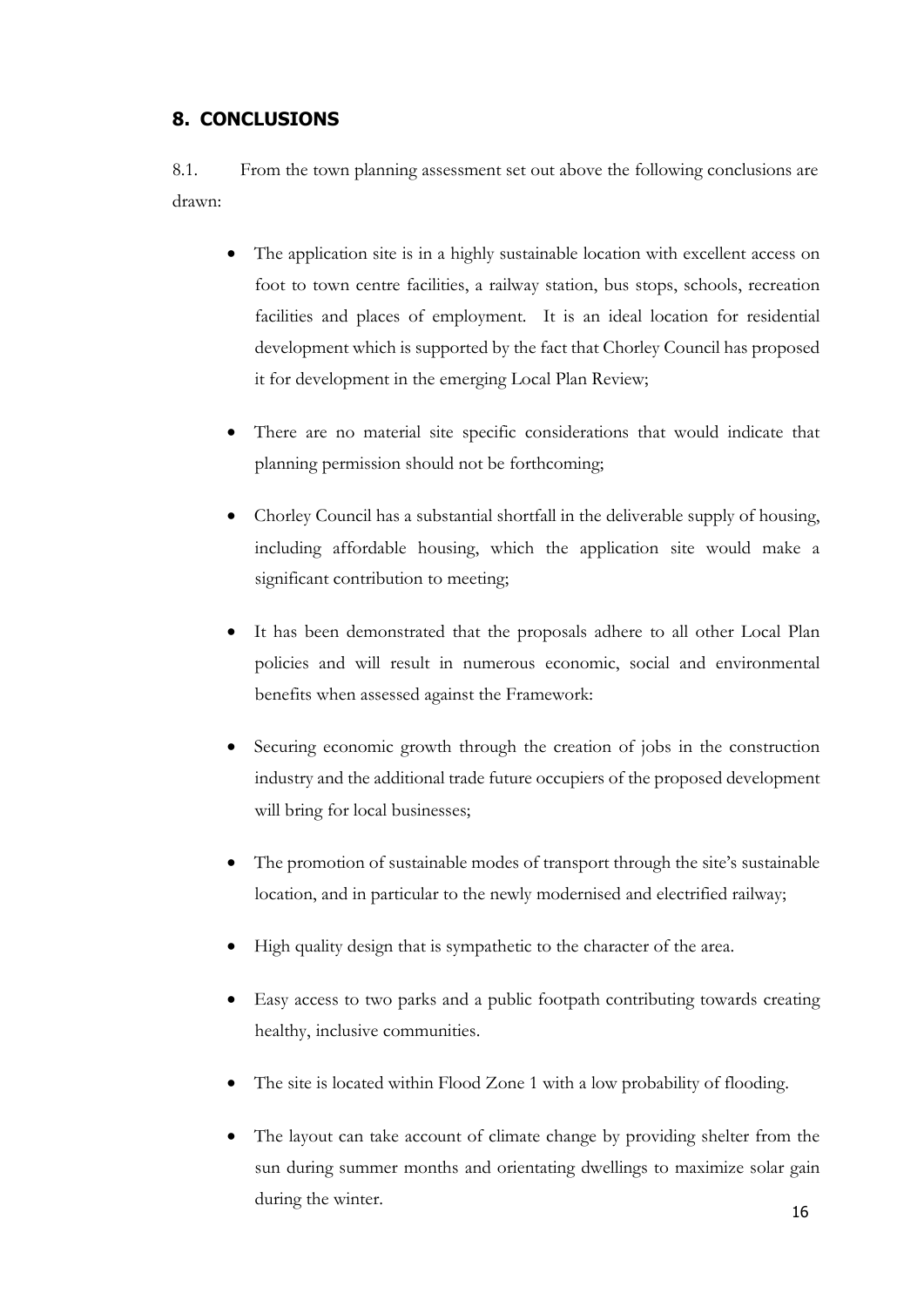# **8. CONCLUSIONS**

8.1. From the town planning assessment set out above the following conclusions are drawn:

- The application site is in a highly sustainable location with excellent access on foot to town centre facilities, a railway station, bus stops, schools, recreation facilities and places of employment. It is an ideal location for residential development which is supported by the fact that Chorley Council has proposed it for development in the emerging Local Plan Review;
- There are no material site specific considerations that would indicate that planning permission should not be forthcoming;
- Chorley Council has a substantial shortfall in the deliverable supply of housing, including affordable housing, which the application site would make a significant contribution to meeting;
- It has been demonstrated that the proposals adhere to all other Local Plan policies and will result in numerous economic, social and environmental benefits when assessed against the Framework:
- Securing economic growth through the creation of jobs in the construction industry and the additional trade future occupiers of the proposed development will bring for local businesses;
- The promotion of sustainable modes of transport through the site's sustainable location, and in particular to the newly modernised and electrified railway;
- High quality design that is sympathetic to the character of the area.
- Easy access to two parks and a public footpath contributing towards creating healthy, inclusive communities.
- The site is located within Flood Zone 1 with a low probability of flooding.
- The layout can take account of climate change by providing shelter from the sun during summer months and orientating dwellings to maximize solar gain during the winter.